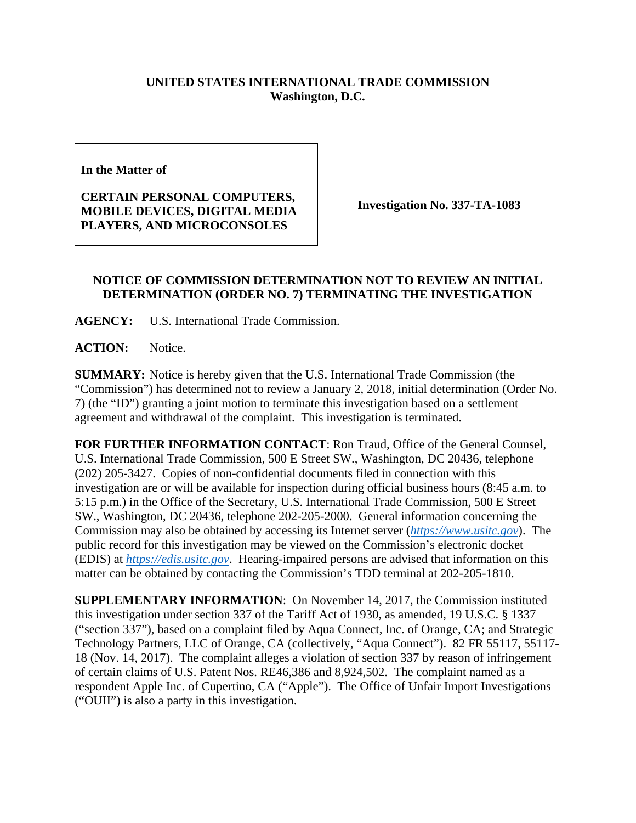## **UNITED STATES INTERNATIONAL TRADE COMMISSION Washington, D.C.**

**In the Matter of** 

**CERTAIN PERSONAL COMPUTERS, MOBILE DEVICES, DIGITAL MEDIA PLAYERS, AND MICROCONSOLES** 

**Investigation No. 337-TA-1083** 

## **NOTICE OF COMMISSION DETERMINATION NOT TO REVIEW AN INITIAL DETERMINATION (ORDER NO. 7) TERMINATING THE INVESTIGATION**

**AGENCY:** U.S. International Trade Commission.

**ACTION:** Notice.

**SUMMARY:** Notice is hereby given that the U.S. International Trade Commission (the "Commission") has determined not to review a January 2, 2018, initial determination (Order No. 7) (the "ID") granting a joint motion to terminate this investigation based on a settlement agreement and withdrawal of the complaint. This investigation is terminated.

**FOR FURTHER INFORMATION CONTACT**: Ron Traud, Office of the General Counsel, U.S. International Trade Commission, 500 E Street SW., Washington, DC 20436, telephone (202) 205-3427. Copies of non-confidential documents filed in connection with this investigation are or will be available for inspection during official business hours (8:45 a.m. to 5:15 p.m.) in the Office of the Secretary, U.S. International Trade Commission, 500 E Street SW., Washington, DC 20436, telephone 202-205-2000. General information concerning the Commission may also be obtained by accessing its Internet server (*https://www.usitc.gov*). The public record for this investigation may be viewed on the Commission's electronic docket (EDIS) at *https://edis.usitc.gov*. Hearing-impaired persons are advised that information on this matter can be obtained by contacting the Commission's TDD terminal at 202-205-1810.

**SUPPLEMENTARY INFORMATION**: On November 14, 2017, the Commission instituted this investigation under section 337 of the Tariff Act of 1930, as amended, 19 U.S.C. § 1337 ("section 337"), based on a complaint filed by Aqua Connect, Inc. of Orange, CA; and Strategic Technology Partners, LLC of Orange, CA (collectively, "Aqua Connect"). 82 FR 55117, 55117- 18 (Nov. 14, 2017). The complaint alleges a violation of section 337 by reason of infringement of certain claims of U.S. Patent Nos. RE46,386 and 8,924,502. The complaint named as a respondent Apple Inc. of Cupertino, CA ("Apple"). The Office of Unfair Import Investigations ("OUII") is also a party in this investigation.